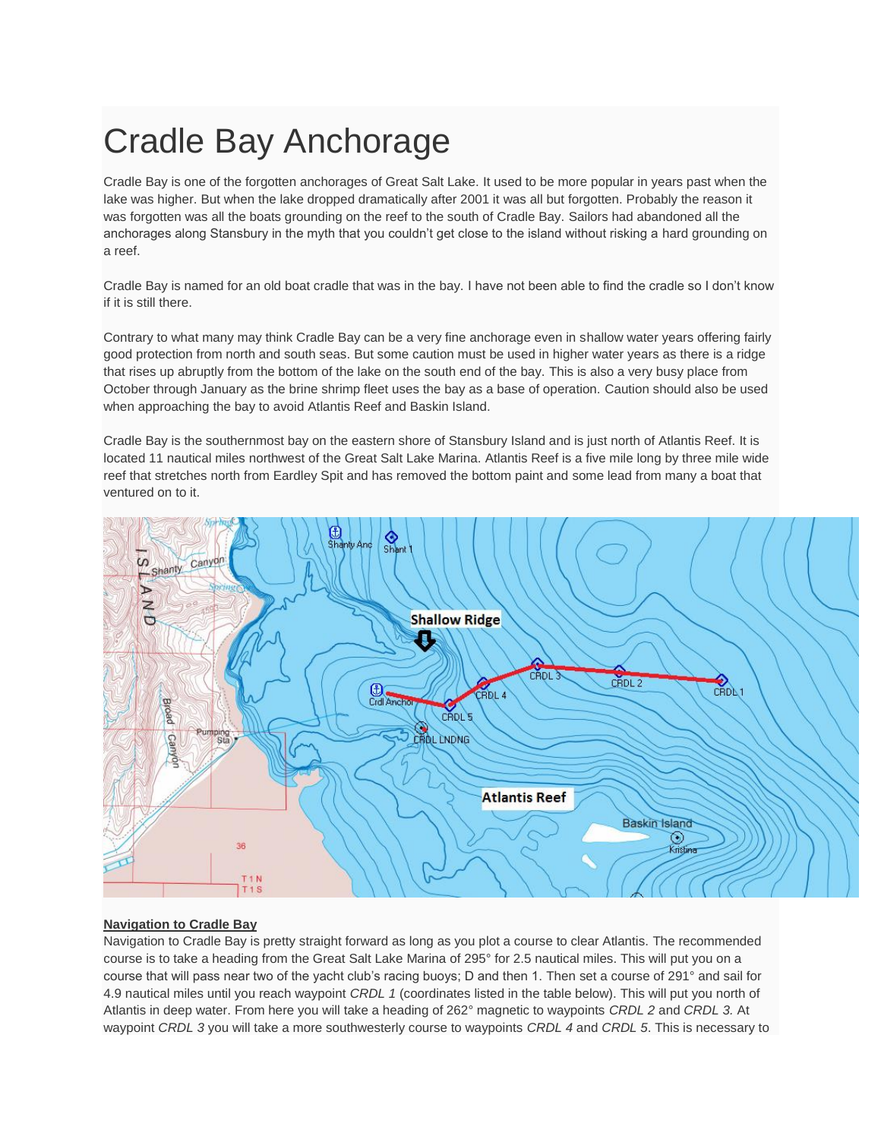## Cradle Bay Anchorage

Cradle Bay is one of the forgotten anchorages of Great Salt Lake. It used to be more popular in years past when the lake was higher. But when the lake dropped dramatically after 2001 it was all but forgotten. Probably the reason it was forgotten was all the boats grounding on the reef to the south of Cradle Bay. Sailors had abandoned all the anchorages along Stansbury in the myth that you couldn't get close to the island without risking a hard grounding on a reef.

Cradle Bay is named for an old boat cradle that was in the bay. I have not been able to find the cradle so I don't know if it is still there.

Contrary to what many may think Cradle Bay can be a very fine anchorage even in shallow water years offering fairly good protection from north and south seas. But some caution must be used in higher water years as there is a ridge that rises up abruptly from the bottom of the lake on the south end of the bay. This is also a very busy place from October through January as the brine shrimp fleet uses the bay as a base of operation. Caution should also be used when approaching the bay to avoid Atlantis Reef and Baskin Island.

Cradle Bay is the southernmost bay on the eastern shore of Stansbury Island and is just north of Atlantis Reef. It is located 11 nautical miles northwest of the Great Salt Lake Marina. Atlantis Reef is a five mile long by three mile wide reef that stretches north from Eardley Spit and has removed the bottom paint and some lead from many a boat that ventured on to it.



## **Navigation to Cradle Bay**

Navigation to Cradle Bay is pretty straight forward as long as you plot a course to clear Atlantis. The recommended course is to take a heading from the Great Salt Lake Marina of 295° for 2.5 nautical miles. This will put you on a course that will pass near two of the yacht club's racing buoys; D and then 1. Then set a course of 291° and sail for 4.9 nautical miles until you reach waypoint *CRDL 1* (coordinates listed in the table below). This will put you north of Atlantis in deep water. From here you will take a heading of 262° magnetic to waypoints *CRDL 2* and *CRDL 3.* At waypoint *CRDL 3* you will take a more southwesterly course to waypoints *CRDL 4* and *CRDL 5*. This is necessary to